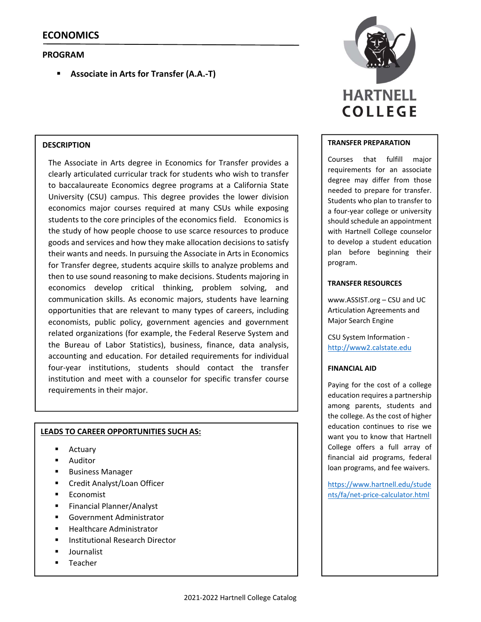# **PROGRAM**

**Associate in Arts for Transfer (A.A.‐T)**

## **DESCRIPTION**

The Associate in Arts degree in Economics for Transfer provides a clearly articulated curricular track for students who wish to transfer to baccalaureate Economics degree programs at a California State University (CSU) campus. This degree provides the lower division economics major courses required at many CSUs while exposing students to the core principles of the economics field. Economics is the study of how people choose to use scarce resources to produce goods and services and how they make allocation decisions to satisfy their wants and needs. In pursuing the Associate in Arts in Economics for Transfer degree, students acquire skills to analyze problems and then to use sound reasoning to make decisions. Students majoring in economics develop critical thinking, problem solving, and communication skills. As economic majors, students have learning opportunities that are relevant to many types of careers, including economists, public policy, government agencies and government related organizations (for example, the Federal Reserve System and the Bureau of Labor Statistics), business, finance, data analysis, accounting and education. For detailed requirements for individual four‐year institutions, students should contact the transfer institution and meet with a counselor for specific transfer course requirements in their major.

## **LEADS TO CAREER OPPORTUNITIES SUCH AS:**

- Actuary
- Auditor
- Business Manager
- Credit Analyst/Loan Officer
- Economist
- Financial Planner/Analyst
- Government Administrator
- Healthcare Administrator
- Institutional Research Director
- **Journalist**
- Teacher



#### **TRANSFER PREPARATION**

Courses that fulfill major requirements for an associate degree may differ from those needed to prepare for transfer. Students who plan to transfer to a four‐year college or university should schedule an appointment with Hartnell College counselor to develop a student education plan before beginning their program.

#### **TRANSFER RESOURCES**

www.ASSIST.org – CSU and UC Articulation Agreements and Major Search Engine

CSU System Information ‐ http://www2.calstate.edu

#### **FINANCIAL AID**

Paying for the cost of a college education requires a partnership among parents, students and the college. As the cost of higher education continues to rise we want you to know that Hartnell College offers a full array of financial aid programs, federal loan programs, and fee waivers.

https://www.hartnell.edu/stude nts/fa/net‐price‐calculator.html